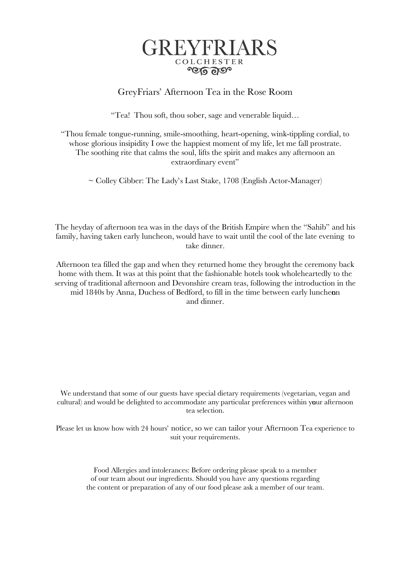

## GreyFriars' Afternoon Tea in the Rose Room

"Tea! Thou soft, thou sober, sage and venerable liquid…

"Thou female tongue-running, smile-smoothing, heart-opening, wink-tippling cordial, to whose glorious insipidity I owe the happiest moment of my life, let me fall prostrate. The soothing rite that calms the soul, lifts the spirit and makes any afternoon an extraordinary event"

~ Colley Cibber: The Lady's Last Stake, 1708 (English Actor-Manager)

The heyday of afternoon tea was in the days of the British Empire when the "Sahib" and his family, having taken early luncheon, would have to wait until the cool of the late evening to take dinner.

Afternoon tea filled the gap and when they returned home they brought the ceremony back home with them. It was at this point that the fashionable hotels took wholeheartedly to the serving of traditional afternoon and Devonshire cream teas, following the introduction in the mid 1840s by Anna, Duchess of Bedford, to fill in the time between early lunchenon and dinner.

We understand that some of our guests have special dietary requirements (vegetarian, vegan and cultural) and would be delighted to accommodate any particular preferences within your afternoon tea selection.

Please let us know how with 24 hours' notice, so we can tailor your Afternoon Tea experience to suit your requirements.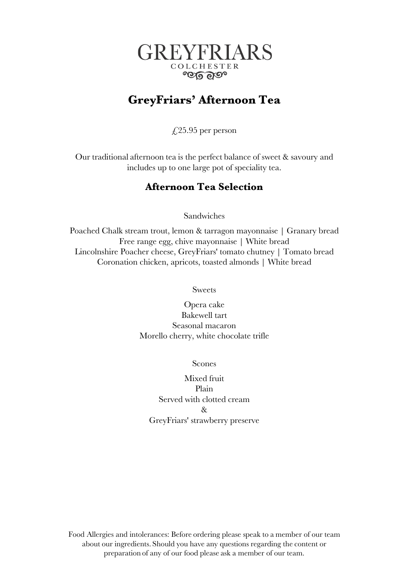

# **GreyFriars' Afternoon Tea**

 $\sqrt{25.95}$  per person

Our traditional afternoon tea is the perfect balance of sweet & savoury and includes up to one large pot of speciality tea.

## **Afternoon Tea Selection**

Sandwiches

Poached Chalk stream trout, lemon & tarragon mayonnaise | Granary bread Free range egg, chive mayonnaise | White bread Lincolnshire Poacher cheese, GreyFriars' tomato chutney | Tomato bread Coronation chicken, apricots, toasted almonds | White bread

Sweets

Opera cake Bakewell tart Seasonal macaron Morello cherry, white chocolate trifle

Scones

Mixed fruit Plain Served with clotted cream & GreyFriars' strawberry preserve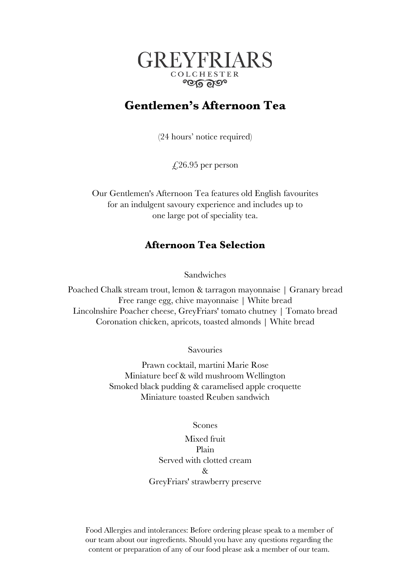

# **Gentlemen's Afternoon Tea**

(24 hours' notice required)

 $\text{\textsterling}26.95$  per person

Our Gentlemen's Afternoon Tea features old English favourites for an indulgent savoury experience and includes up to one large pot of speciality tea.

## **Afternoon Tea Selection**

Sandwiches

Poached Chalk stream trout, lemon & tarragon mayonnaise | Granary bread Free range egg, chive mayonnaise | White bread Lincolnshire Poacher cheese, GreyFriars' tomato chutney | Tomato bread Coronation chicken, apricots, toasted almonds | White bread

Savouries

Prawn cocktail, martini Marie Rose Miniature beef & wild mushroom Wellington Smoked black pudding & caramelised apple croquette Miniature toasted Reuben sandwich

Scones

Mixed fruit Plain Served with clotted cream & GreyFriars' strawberry preserve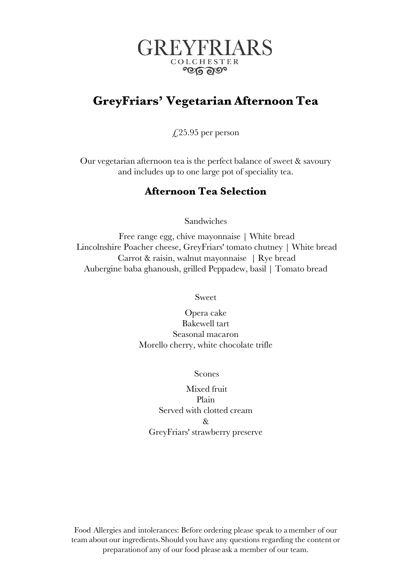

# **GreyFriars' Vegetarian Afternoon Tea**

 $\sqrt{25.95}$  per person

Our vegetarian afternoon tea is the perfect balance of sweet & savoury and includes up to one large pot of speciality tea.

## **Afternoon Tea Selection**

Sandwiches

Free range egg, chive mayonnaise | White bread Lincolnshire Poacher cheese, GreyFriars' tomato chutney | White bread Carrot & raisin, walnut mayonnaise | Rye bread Aubergine baba ghanoush, grilled Peppadew, basil | Tomato bread

Sweet

Opera cake Bakewell tart Seasonal macaron Morello cherry, white chocolate trifle

Scones

Mixed fruit Plain Served with clotted cream  $R_{\tau}$ GreyFriars' strawberry preserve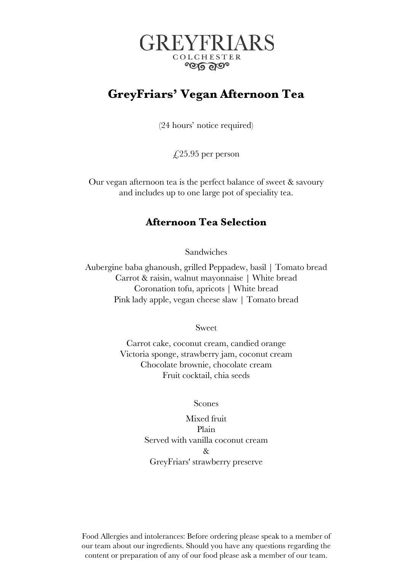

# **GreyFriars' Vegan Afternoon Tea**

(24 hours' notice required)

 $\text{\textsterling}25.95$  per person

Our vegan afternoon tea is the perfect balance of sweet & savoury and includes up to one large pot of speciality tea.

## **Afternoon Tea Selection**

Sandwiches

Aubergine baba ghanoush, grilled Peppadew, basil | Tomato bread Carrot & raisin, walnut mayonnaise | White bread Coronation tofu, apricots | White bread Pink lady apple, vegan cheese slaw | Tomato bread

Sweet

Carrot cake, coconut cream, candied orange Victoria sponge, strawberry jam, coconut cream Chocolate brownie, chocolate cream Fruit cocktail, chia seeds

Scones

Mixed fruit Plain Served with vanilla coconut cream  $\mathcal{R}_{\tau}$ GreyFriars' strawberry preserve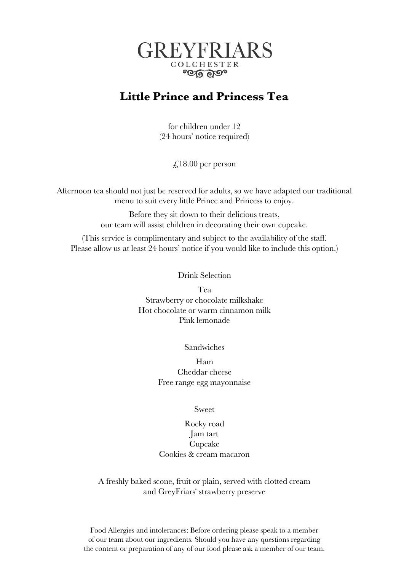

## **Little Prince and Princess Tea**

for children under 12 (24 hours' notice required)

 $\text{\textsterling}.18.00$  per person

Afternoon tea should not just be reserved for adults, so we have adapted our traditional menu to suit every little Prince and Princess to enjoy.

> Before they sit down to their delicious treats, our team will assist children in decorating their own cupcake.

(This service is complimentary and subject to the availability of the staff. Please allow us at least 24 hours' notice if you would like to include this option.)

## Drink Selection

Tea Strawberry or chocolate milkshake Hot chocolate or warm cinnamon milk Pink lemonade

Sandwiches

Ham Cheddar cheese Free range egg mayonnaise

Sweet

## Rocky road Jam tart Cupcake Cookies & cream macaron

A freshly baked scone, fruit or plain, served with clotted cream and GreyFriars' strawberry preserve